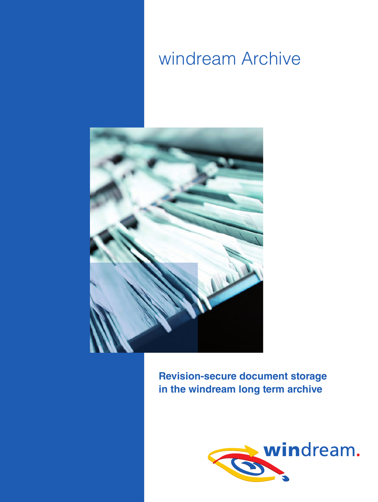# windream Archive



**Revision-secure document storage in the windream long term archive**

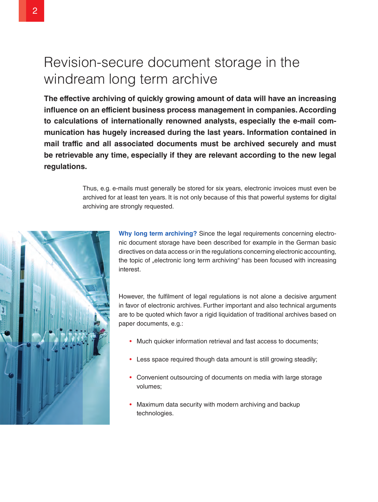## Revision-secure document storage in the windream long term archive

**The effective archiving of quickly growing amount of data will have an increasing influence on an efficient business process management in companies. According to calculations of internationally renowned analysts, especially the e-mail communication has hugely increased during the last years. Information contained in mail traffic and all associated documents must be archived securely and must be retrievable any time, especially if they are relevant according to the new legal regulations.**

> Thus, e.g. e-mails must generally be stored for six years, electronic invoices must even be archived for at least ten years. It is not only because of this that powerful systems for digital archiving are strongly requested.



**Why long term archiving?** Since the legal requirements concerning electronic document storage have been described for example in the German basic directives on data access or in the regulations concerning electronic accounting, the topic of "electronic long term archiving" has been focused with increasing interest.

However, the fulfilment of legal regulations is not alone a decisive argument in favor of electronic archives. Further important and also technical arguments are to be quoted which favor a rigid liquidation of traditional archives based on paper documents, e.g.:

- Much quicker information retrieval and fast access to documents;
- Less space required though data amount is still growing steadily;
- Convenient outsourcing of documents on media with large storage volumes;
- Maximum data security with modern archiving and backup technologies.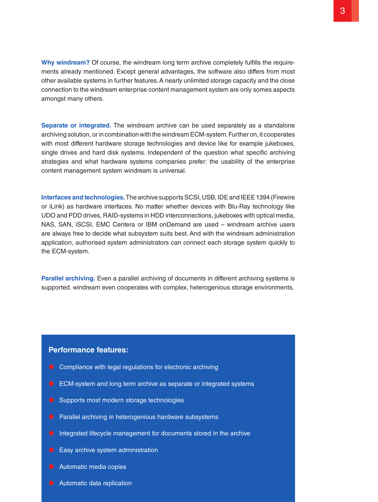**Why windream?** Of course, the windream long term archive completely fulfills the requirements already mentioned. Except general advantages, the software also differs from most other available systems in further features. A nearly unlimited storage capacity and the close connection to the windream enterprise content management system are only somes aspects amongst many others.

**Separate or integrated.** The windream archive can be used separately as a standalone archiving solution, or in combination with the windream ECM-system. Further on, it cooperates with most different hardware storage technologies and device like for example jukeboxes, single drives and hard disk systems. Independent of the question what specific archiving strategies and what hardware systems companies prefer: the usability of the enterprise content management system windream is universal.

**Interfaces and technologies.** The archive supports SCSI, USB, IDE and IEEE 1394 (Firewire or iLink) as hardware interfaces. No matter whether devices with Blu-Ray technology like UDO and PDD drives, RAID-systems in HDD interconnections, jukeboxes with optical media, NAS, SAN, iSCSI, EMC Centera or IBM onDemand are used – windream archive users are always free to decide what subsystem suits best. And with the windream administration application, authorised system administrators can connect each storage system quickly to the ECM-system.

**Parallel archiving.** Even a parallel archiving of documents in different archiving systems is supported. windream even cooperates with complex, heterogenious storage environments.

#### **Performance features:**

- $\bullet$  Compliance with legal regulations for electronic archiving
- $\bullet$  ECM-system and long term archive as separate or integrated systems
- **•** Supports most modern storage technologies
- **•** Parallel archiving in heterogenious hardware subsystems
- $\bullet$  Integrated lifecycle management for documents stored in the archive
- $\bullet$  Easy archive system administration
- $\bullet$  Automatic media copies
- **Automatic data replication**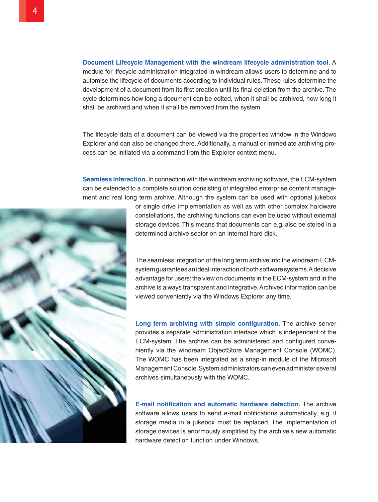**Document Lifecycle Management with the windream lifecycle administration tool.** A module for lifecycle administration integrated in windream allows users to determine and to automise the lifecycle of documents according to individual rules. These rules determine the development of a document from its first creation until its final deletion from the archive. The cycle determines how long a document can be edited, when it shall be archived, how long it shall be archived and when it shall be removed from the system.

The lifecycle data of a document can be viewed via the properties window in the Windows Explorer and can also be changed there. Additionally, a manual or immediate archiving process can be initiated via a command from the Explorer context menu.

**Seamless interaction.** In connection with the windream archiving software, the ECM-system can be extended to a complete solution consisting of integrated enterprise content management and real long term archive. Although the system can be used with optional jukebox



or single drive implementation as well as with other complex hardware constellations, the archiving functions can even be used without external storage devices. This means that documents can e.g. also be stored in a determined archive sector on an internal hard disk.

The seamless integration of the long term archive into the windream ECMsystem guarantees an ideal interaction of both software systems. A decisive advantage for users: the view on documents in the ECM-system and in the archive is always transparent and integrative. Archived information can be viewed conveniently via the Windows Explorer any time.

**Long term archiving with simple configuration.** The archive server provides a separate administration interface which is independent of the ECM-system. The archive can be administered and configured conveniently via the windream ObjectStore Management Console (WOMC). The WOMC has been integrated as a snap-in module of the Microsoft Management Console. System administrators can even administer several archives simultaneously with the WOMC.

**E-mail notification and automatic hardware detection.** The archive software allows users to send e-mail notifications automatically, e.g. if storage media in a jukebox must be replaced. The implementation of storage devices is enormously simplified by the archive's new automatic hardware detection function under Windows.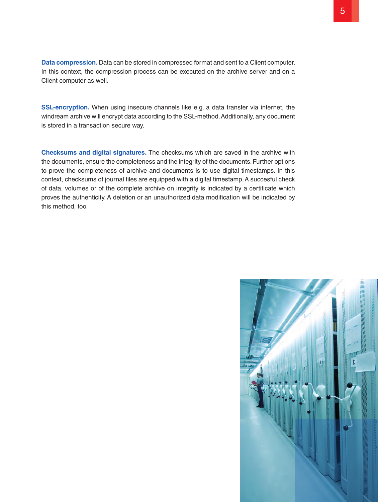**Data compression.** Data can be stored in compressed format and sent to a Client computer. In this context, the compression process can be executed on the archive server and on a Client computer as well.

**SSL-encryption.** When using insecure channels like e.g. a data transfer via internet, the windream archive will encrypt data according to the SSL-method. Additionally, any document is stored in a transaction secure way.

**Checksums and digital signatures.** The checksums which are saved in the archive with the documents, ensure the completeness and the integrity of the documents. Further options to prove the completeness of archive and documents is to use digital timestamps. In this context, checksums of journal files are equipped with a digital timestamp. A succesful check of data, volumes or of the complete archive on integrity is indicated by a certificate which proves the authenticity. A deletion or an unauthorized data modification will be indicated by this method, too.